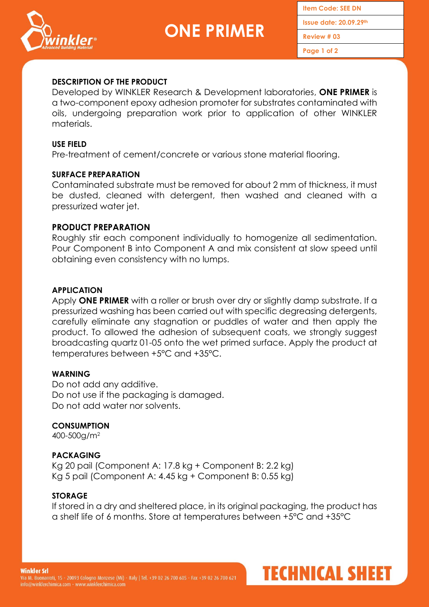

**Item Code: SEE DN Issue date: 20.09.29th**

**Review # 03**

**Page 1 of 2**

**TECHNICAL SHEET** 

# **DESCRIPTION OF THE PRODUCT**

Developed by WINKLER Research & Development laboratories, **ONE PRIMER** is a two-component epoxy adhesion promoter for substrates contaminated with oils, undergoing preparation work prior to application of other WINKLER materials.

## **USE FIELD**

Pre-treatment of cement/concrete or various stone material flooring.

## **SURFACE PREPARATION**

Contaminated substrate must be removed for about 2 mm of thickness, it must be dusted, cleaned with detergent, then washed and cleaned with a pressurized water jet.

### **PRODUCT PREPARATION**

Roughly stir each component individually to homogenize all sedimentation. Pour Component B into Component A and mix consistent at slow speed until obtaining even consistency with no lumps.

### **APPLICATION**

Apply **ONE PRIMER** with a roller or brush over dry or slightly damp substrate. If a pressurized washing has been carried out with specific degreasing detergents, carefully eliminate any stagnation or puddles of water and then apply the product. To allowed the adhesion of subsequent coats, we strongly suggest broadcasting quartz 01-05 onto the wet primed surface. Apply the product at temperatures between +5°C and +35°C.

#### **WARNING**

Do not add any additive. Do not use if the packaging is damaged. Do not add water nor solvents.

#### **CONSUMPTION**

400-500g/m<sup>2</sup>

## **PACKAGING**

Kg 20 pail (Component A: 17.8 kg + Component B: 2.2 kg) Kg 5 pail (Component A: 4.45 kg + Component B: 0.55 kg)

#### **STORAGE**

If stored in a dry and sheltered place, in its original packaging, the product has a shelf life of 6 months. Store at temperatures between +5°C and +35°C

**Winkler Srl**